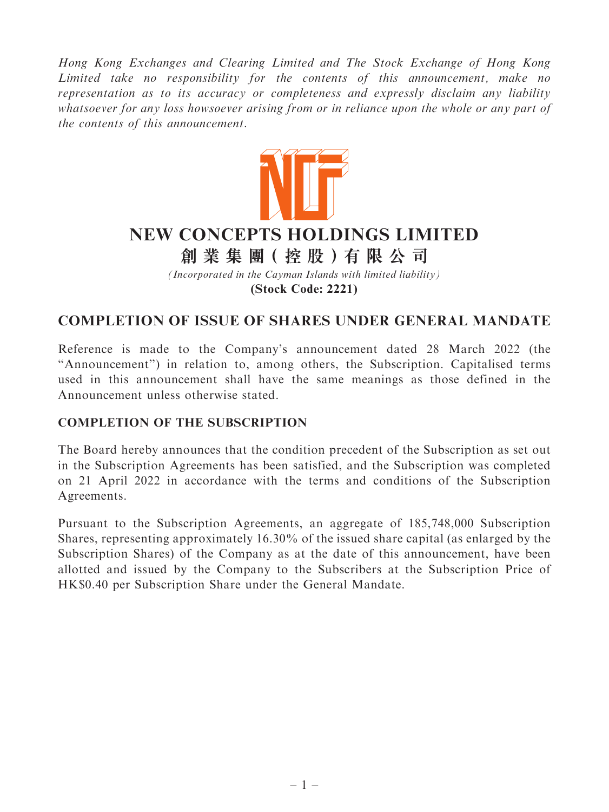Hong Kong Exchanges and Clearing Limited and The Stock Exchange of Hong Kong Limited take no responsibility for the contents of this announcement, make no representation as to its accuracy or completeness and expressly disclaim any liability whatsoever for any loss howsoever arising from or in reliance upon the whole or any part of the contents of this announcement.



# **NEW CONCEPTS HOLDINGS LIMITED**

**創 業 集 團( 控 股 )有 限 公 司**

*(Incorporated in the Cayman Islands with limited liability)* **(Stock Code: 2221)**

## COMPLETION OF ISSUE OF SHARES UNDER GENERAL MANDATE

Reference is made to the Company's announcement dated 28 March 2022 (the ''Announcement'') in relation to, among others, the Subscription. Capitalised terms used in this announcement shall have the same meanings as those defined in the Announcement unless otherwise stated.

### COMPLETION OF THE SUBSCRIPTION

The Board hereby announces that the condition precedent of the Subscription as set out in the Subscription Agreements has been satisfied, and the Subscription was completed on 21 April 2022 in accordance with the terms and conditions of the Subscription Agreements.

Pursuant to the Subscription Agreements, an aggregate of 185,748,000 Subscription Shares, representing approximately 16.30% of the issued share capital (as enlarged by the Subscription Shares) of the Company as at the date of this announcement, have been allotted and issued by the Company to the Subscribers at the Subscription Price of HK\$0.40 per Subscription Share under the General Mandate.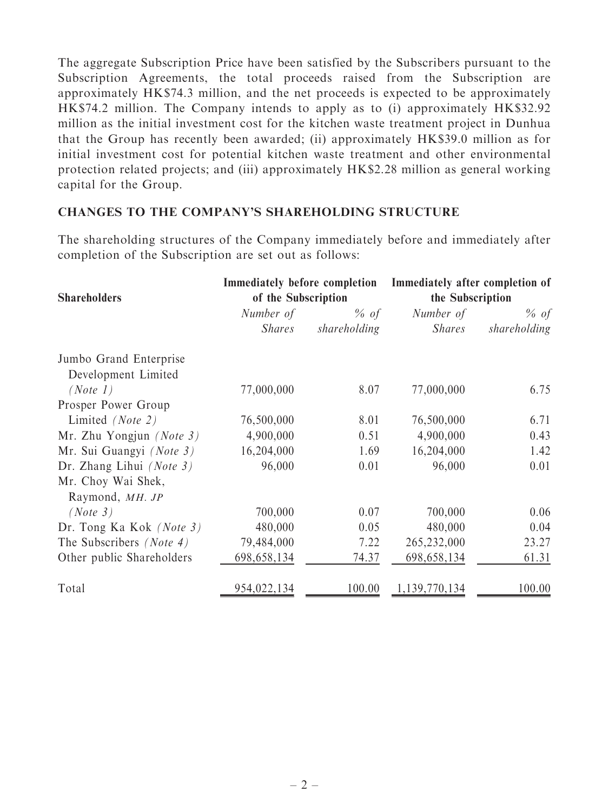The aggregate Subscription Price have been satisfied by the Subscribers pursuant to the Subscription Agreements, the total proceeds raised from the Subscription are approximately HK\$74.3 million, and the net proceeds is expected to be approximately HK\$74.2 million. The Company intends to apply as to (i) approximately HK\$32.92 million as the initial investment cost for the kitchen waste treatment project in Dunhua that the Group has recently been awarded; (ii) approximately HK\$39.0 million as for initial investment cost for potential kitchen waste treatment and other environmental protection related projects; and (iii) approximately HK\$2.28 million as general working capital for the Group.

#### CHANGES TO THE COMPANY'S SHAREHOLDING STRUCTURE

The shareholding structures of the Company immediately before and immediately after completion of the Subscription are set out as follows:

| <b>Shareholders</b>             | of the Subscription    |              | Immediately before completion Immediately after completion of<br>the Subscription |              |
|---------------------------------|------------------------|--------------|-----------------------------------------------------------------------------------|--------------|
|                                 |                        |              |                                                                                   |              |
|                                 | <i>Shares</i>          | shareholding | <i>Shares</i>                                                                     | shareholding |
|                                 | Jumbo Grand Enterprise |              |                                                                                   |              |
| Development Limited             |                        |              |                                                                                   |              |
| (Note 1)                        | 77,000,000             | 8.07         | 77,000,000                                                                        | 6.75         |
| Prosper Power Group             |                        |              |                                                                                   |              |
| Limited (Note 2)                | 76,500,000             | 8.01         | 76,500,000                                                                        | 6.71         |
| Mr. Zhu Yongjun (Note $3$ )     | 4,900,000              | 0.51         | 4,900,000                                                                         | 0.43         |
| Mr. Sui Guangyi (Note 3)        | 16,204,000             | 1.69         | 16,204,000                                                                        | 1.42         |
| Dr. Zhang Lihui (Note $3$ )     | 96,000                 | 0.01         | 96,000                                                                            | 0.01         |
| Mr. Choy Wai Shek,              |                        |              |                                                                                   |              |
| Raymond, MH. JP                 |                        |              |                                                                                   |              |
| (Note 3)                        | 700,000                | 0.07         | 700,000                                                                           | 0.06         |
| Dr. Tong Ka Kok (Note 3)        | 480,000                | 0.05         | 480,000                                                                           | 0.04         |
| The Subscribers <i>(Note 4)</i> | 79,484,000             | 7.22         | 265,232,000                                                                       | 23.27        |
| Other public Shareholders       | 698,658,134            | 74.37        | 698, 658, 134                                                                     | 61.31        |
| Total                           | 954,022,134            | 100.00       | 1,139,770,134                                                                     | 100.00       |